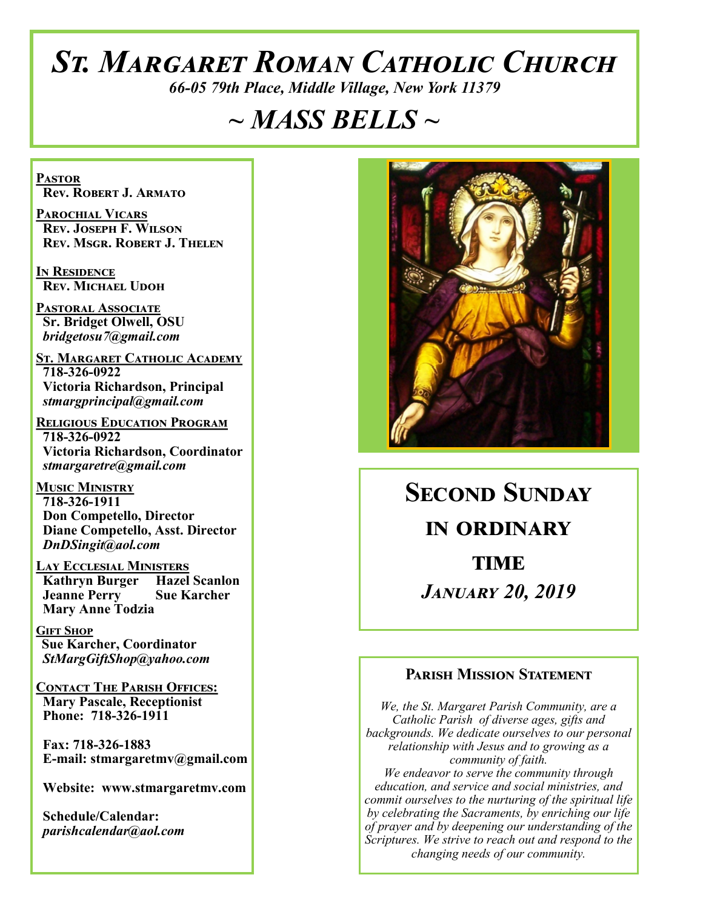# *St. Margaret Roman Catholic Church*

*66-05 79th Place, Middle Village, New York 11379*

# *~ MASS BELLS ~*

**Pastor Rev. Robert J. Armato**

**Parochial Vicars Rev. Joseph F. Wilson Rev. Msgr. Robert J. Thelen**

**In Residence Rev. Michael Udoh**

**Pastoral Associate Sr. Bridget Olwell, OSU**  *bridgetosu7@gmail.com*

**St. Margaret Catholic Academy 718-326-0922 Victoria Richardson, Principal**  *stmargprincipal@gmail.com*

**Religious Education Program 718-326-0922 Victoria Richardson, Coordinator** *stmargaretre@gmail.com*

**Music Ministry 718-326-1911 Don Competello, Director Diane Competello, Asst. Director** *DnDSingit@aol.com*

**Lay Ecclesial Ministers Kathryn Burger Hazel Scanlon**<br>Jeanne Perry Sue Karcher **Jeanne Perry Mary Anne Todzia**

**Gift Shop Sue Karcher, Coordinator** *StMargGiftShop@yahoo.com*

**Contact The Parish Offices: Mary Pascale, Receptionist Phone: 718-326-1911** 

 **Fax: 718-326-1883 E-mail: stmargaretmv@gmail.com**

 **Website: www.stmargaretmv.com**

 **Schedule/Calendar:** *parishcalendar@aol.com* 



**Second Sunday in ordinary TIME** *January 20, 2019* 

#### **Parish Mission Statement**

*We, the St. Margaret Parish Community, are a Catholic Parish of diverse ages, gifts and backgrounds. We dedicate ourselves to our personal relationship with Jesus and to growing as a community of faith. We endeavor to serve the community through education, and service and social ministries, and commit ourselves to the nurturing of the spiritual life by celebrating the Sacraments, by enriching our life of prayer and by deepening our understanding of the Scriptures. We strive to reach out and respond to the changing needs of our community.*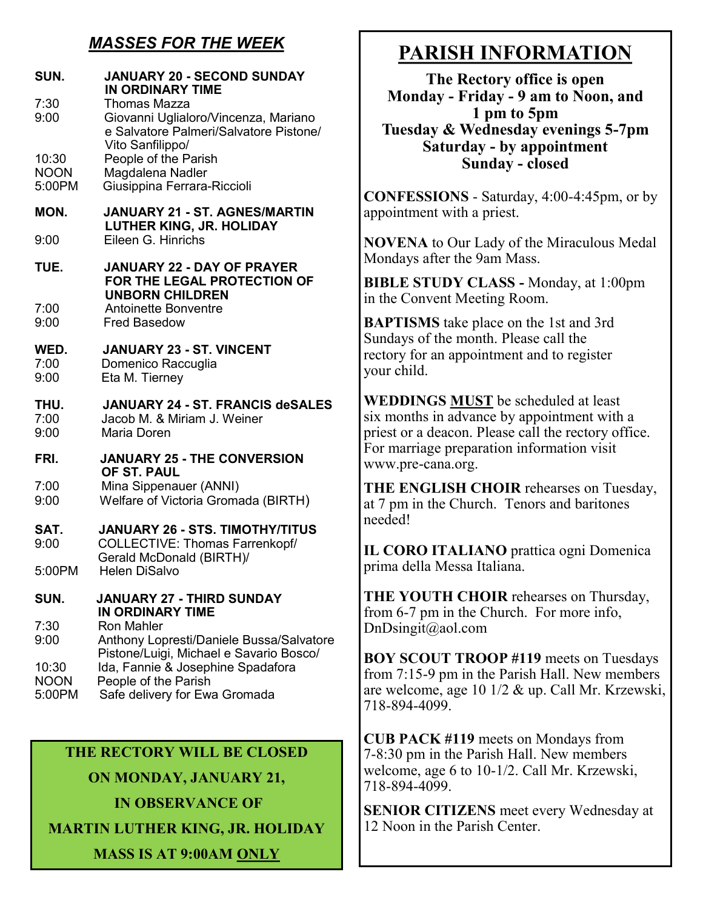### *MASSES FOR THE WEEK*

| <b>JANUARY 20 - SECOND SUNDAY</b><br><b>IN ORDINARY TIME</b><br>Thomas Mazza<br>Giovanni Uglialoro/Vincenza, Mariano<br>e Salvatore Palmeri/Salvatore Pistone/ |
|----------------------------------------------------------------------------------------------------------------------------------------------------------------|
| Vito Sanfilippo/<br>People of the Parish<br>Magdalena Nadler<br>Giusippina Ferrara-Riccioli                                                                    |
| <b>JANUARY 21 - ST. AGNES/MARTIN</b><br><b>LUTHER KING, JR. HOLIDAY</b>                                                                                        |
| Eileen G. Hinrichs                                                                                                                                             |
| <b>JANUARY 22 - DAY OF PRAYER</b><br>FOR THE LEGAL PROTECTION OF<br><b>UNBORN CHILDREN</b><br>Antoinette Bonventre                                             |
| <b>Fred Basedow</b>                                                                                                                                            |
| <b>JANUARY 23 - ST. VINCENT</b><br>Domenico Raccuglia<br>Eta M. Tierney                                                                                        |
| <b>JANUARY 24 - ST. FRANCIS deSALES</b><br>Jacob M. & Miriam J. Weiner<br>Maria Doren                                                                          |
| <b>JANUARY 25 - THE CONVERSION</b><br>OF ST. PAUL                                                                                                              |
| Mina Sippenauer (ANNI)<br>Welfare of Victoria Gromada (BIRTH)                                                                                                  |
| <b>JANUARY 26 - STS. TIMOTHY/TITUS</b><br><b>COLLECTIVE: Thomas Farrenkopf/</b><br>Gerald McDonald (BIRTH)/                                                    |
| Helen DiSalvo                                                                                                                                                  |
| JANUARY 27 - THIRD SUNDAY<br><b>IN ORDINARY TIME</b>                                                                                                           |
| <b>Ron Mahler</b><br>Anthony Lopresti/Daniele Bussa/Salvatore<br>Pistone/Luigi, Michael e Savario Bosco/                                                       |
| Ida, Fannie & Josephine Spadafora<br>People of the Parish<br>Safe delivery for Ewa Gromada                                                                     |
|                                                                                                                                                                |

#### **THE RECTORY WILL BE CLOSED**

**ON MONDAY, JANUARY 21,**

**IN OBSERVANCE OF MARTIN LUTHER KING, JR. HOLIDAY**

**MASS IS AT 9:00AM ONLY**

# **PARISH INFORMATION**

**The Rectory office is open Monday - Friday - 9 am to Noon, and 1 pm to 5pm Tuesday & Wednesday evenings 5-7pm Saturday - by appointment Sunday - closed**

**CONFESSIONS** - Saturday, 4:00-4:45pm, or by appointment with a priest.

**NOVENA** to Our Lady of the Miraculous Medal Mondays after the 9am Mass.

**BIBLE STUDY CLASS -** Monday, at 1:00pm in the Convent Meeting Room.

**BAPTISMS** take place on the 1st and 3rd Sundays of the month. Please call the rectory for an appointment and to register your child.

**WEDDINGS MUST** be scheduled at least six months in advance by appointment with a priest or a deacon. Please call the rectory office. For marriage preparation information visit www.pre-cana.org.

**THE ENGLISH CHOIR** rehearses on Tuesday, at 7 pm in the Church. Tenors and baritones needed!

**IL CORO ITALIANO** prattica ogni Domenica prima della Messa Italiana.

**THE YOUTH CHOIR** rehearses on Thursday, from 6-7 pm in the Church. For more info, DnDsingit@aol.com

**BOY SCOUT TROOP #119** meets on Tuesdays from 7:15-9 pm in the Parish Hall. New members are welcome, age 10 1/2 & up. Call Mr. Krzewski, 718-894-4099.

**CUB PACK #119** meets on Mondays from 7-8:30 pm in the Parish Hall. New members welcome, age 6 to 10-1/2. Call Mr. Krzewski, 718-894-4099.

**SENIOR CITIZENS** meet every Wednesday at 12 Noon in the Parish Center.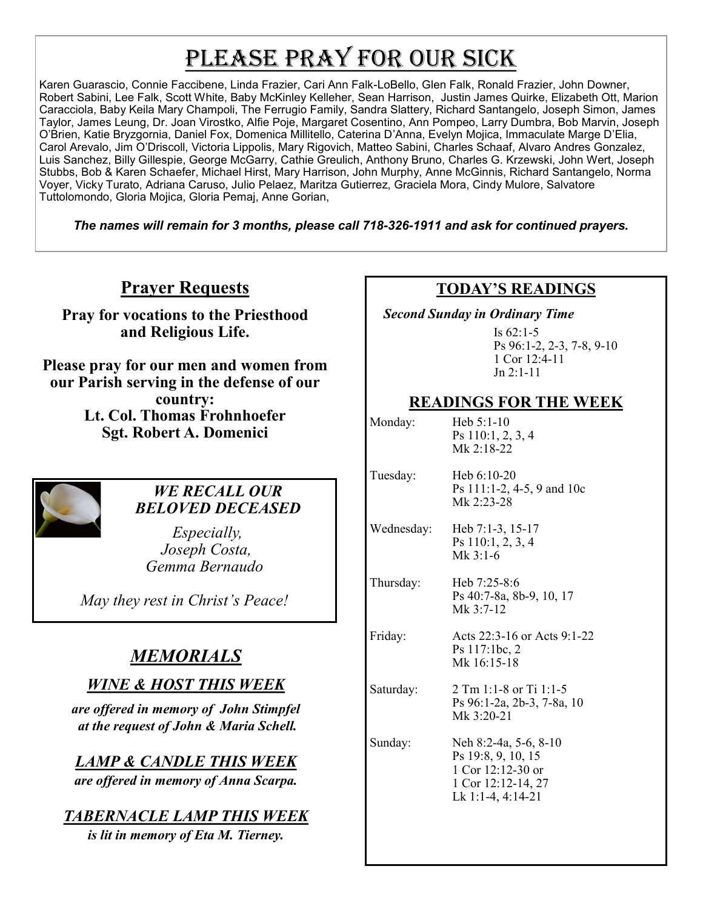# PLEASE PRAY FOR OUR SICK

Karen Guarascio, Connie Faccibene, Linda Frazier, Cari Ann Falk-LoBello, Glen Falk, Ronald Frazier, John Downer, Robert Sabini, Lee Falk, Scott White, Baby McKinley Kelleher, Sean Harrison, Justin James Quirke, Elizabeth Ott, Marion Caracciola, Baby Keila Mary Champoli, The Ferrugio Family, Sandra Slattery, Richard Santangelo, Joseph Simon, James Taylor, James Leung, Dr. Joan Virostko, Alfie Poje, Margaret Cosentino, Ann Pompeo, Larry Dumbra, Bob Marvin, Joseph O'Brien, Katie Bryzgornia, Daniel Fox, Domenica Millitello, Caterina D'Anna, Evelyn Mojica, Immaculate Marge D'Elia, Carol Arevalo, Jim O'Driscoll, Victoria Lippolis, Mary Rigovich, Matteo Sabini, Charles Schaaf, Alvaro Andres Gonzalez, Luis Sanchez, Billy Gillespie, George McGarry, Cathie Greulich, Anthony Bruno, Charles G. Krzewski, John Wert, Joseph Stubbs, Bob & Karen Schaefer, Michael Hirst, Mary Harrison, John Murphy, Anne McGinnis, Richard Santangelo, Norma Voyer, Vicky Turato, Adriana Caruso, Julio Pelaez, Maritza Gutierrez, Graciela Mora, Cindy Mulore, Salvatore Tuttolomondo, Gloria Mojica, Gloria Pemaj, Anne Gorian,

*The names will remain for 3 months, please call 718-326-1911 and ask for continued prayers.*

## **Prayer Requests**

**Pray for vocations to the Priesthood and Religious Life.** 

**Please pray for our men and women from our Parish serving in the defense of our country:** 

**Lt. Col. Thomas Frohnhoefer Sgt. Robert A. Domenici** 



#### *WE RECALL OUR BELOVED DECEASED*

 *Especially, Joseph Costa, Gemma Bernaudo*

*May they rest in Christ's Peace!*

# *MEMORIALS*

#### *WINE & HOST THIS WEEK*

*are offered in memory of John Stimpfel at the request of John & Maria Schell.* 

*LAMP & CANDLE THIS WEEK*

*are offered in memory of Anna Scarpa.* 

## *TABERNACLE LAMP THIS WEEK*

*is lit in memory of Eta M. Tierney.*

### **TODAY'S READINGS**

 *Second Sunday in Ordinary Time*

Is 62:1-5 Ps 96:1-2, 2-3, 7-8, 9-10 1 Cor 12:4-11 Jn 2:1-11

#### **READINGS FOR THE WEEK**

| Monday:    | Heb 5:1-10<br>Ps 110:1, 2, 3, 4<br>Mk 2:18-22                                                                 |
|------------|---------------------------------------------------------------------------------------------------------------|
| Tuesday:   | Heb $6:10-20$<br>Ps 111:1-2, 4-5, 9 and 10c<br>Mk 2:23-28                                                     |
| Wednesday: | Heb 7:1-3, 15-17<br>Ps 110:1, 2, 3, 4<br>$Mk$ 3:1-6                                                           |
| Thursday:  | Heb 7:25-8:6<br>Ps 40:7-8a, 8b-9, 10, 17<br>Mk 3:7-12                                                         |
| Friday:    | Acts 22:3-16 or Acts 9:1-22<br>Ps 117:1bc, 2<br>Mk 16:15-18                                                   |
| Saturday:  | 2 Tm 1:1-8 or Ti 1:1-5<br>Ps 96:1-2a, 2b-3, 7-8a, 10<br>Mk 3:20-21                                            |
| Sunday:    | Neh 8:2-4a, 5-6, 8-10<br>Ps 19:8, 9, 10, 15<br>1 Cor $12:12-30$ or<br>1 Cor 12:12-14, 27<br>Lk 1:1-4, 4:14-21 |
|            |                                                                                                               |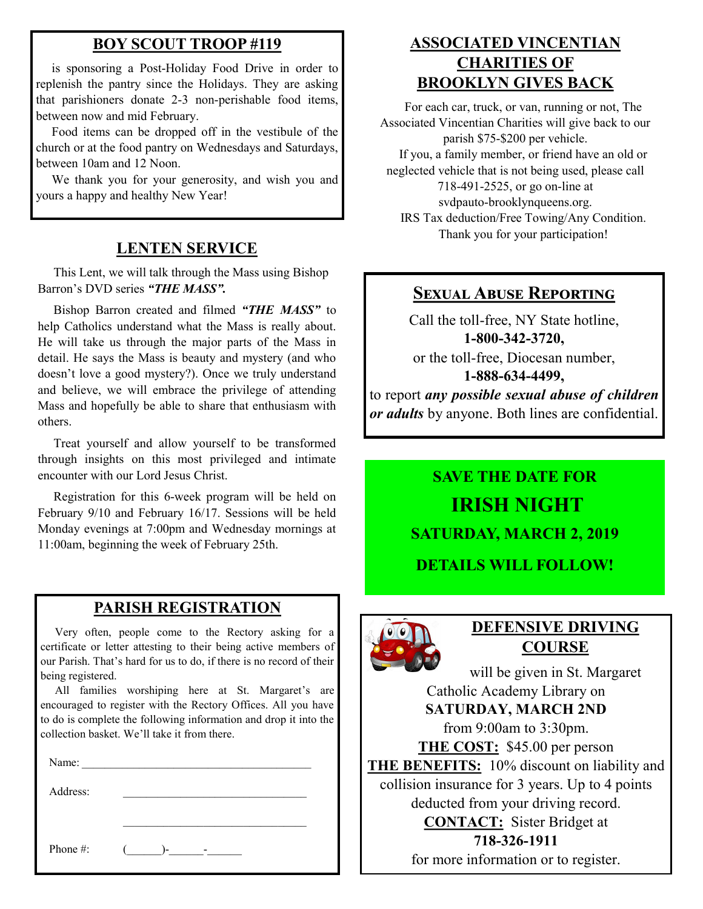#### **BOY SCOUT TROOP #119**

 is sponsoring a Post-Holiday Food Drive in order to replenish the pantry since the Holidays. They are asking that parishioners donate 2-3 non-perishable food items, between now and mid February.

 Food items can be dropped off in the vestibule of the church or at the food pantry on Wednesdays and Saturdays, between 10am and 12 Noon.

 We thank you for your generosity, and wish you and yours a happy and healthy New Year!

#### **LENTEN SERVICE**

 This Lent, we will talk through the Mass using Bishop Barron's DVD series *"THE MASS".*

 Bishop Barron created and filmed *"THE MASS"* to help Catholics understand what the Mass is really about. He will take us through the major parts of the Mass in detail. He says the Mass is beauty and mystery (and who doesn't love a good mystery?). Once we truly understand and believe, we will embrace the privilege of attending Mass and hopefully be able to share that enthusiasm with others.

 Treat yourself and allow yourself to be transformed through insights on this most privileged and intimate encounter with our Lord Jesus Christ.

 Registration for this 6-week program will be held on February 9/10 and February 16/17. Sessions will be held Monday evenings at 7:00pm and Wednesday mornings at 11:00am, beginning the week of February 25th.

#### **PARISH REGISTRATION**

 Very often, people come to the Rectory asking for a certificate or letter attesting to their being active members of our Parish. That's hard for us to do, if there is no record of their being registered.

 All families worshiping here at St. Margaret's are encouraged to register with the Rectory Offices. All you have to do is complete the following information and drop it into the collection basket. We'll take it from there.

Name:

Address:

Phone #:  $($   $)$ -

#### **ASSOCIATED VINCENTIAN CHARITIES OF BROOKLYN GIVES BACK**

 For each car, truck, or van, running or not, The Associated Vincentian Charities will give back to our parish \$75-\$200 per vehicle. If you, a family member, or friend have an old or neglected vehicle that is not being used, please call 718-491-2525, or go on-line at svdpauto-brooklynqueens.org. IRS Tax deduction/Free Towing/Any Condition. Thank you for your participation!

#### **Sexual Abuse Reporting**

Call the toll-free, NY State hotline, **1-800-342-3720,** or the toll-free, Diocesan number, **1-888-634-4499,** to report *any possible sexual abuse of children or adults* by anyone. Both lines are confidential.

# **SAVE THE DATE FOR IRISH NIGHT SATURDAY, MARCH 2, 2019 DETAILS WILL FOLLOW!**



#### **DEFENSIVE DRIVING COURSE**

will be given in St. Margaret Catholic Academy Library on **SATURDAY, MARCH 2ND** from 9:00am to 3:30pm. **THE COST:** \$45.00 per person **THE BENEFITS:** 10% discount on liability and collision insurance for 3 years. Up to 4 points deducted from your driving record. **CONTACT:** Sister Bridget at **718-326-1911** for more information or to register.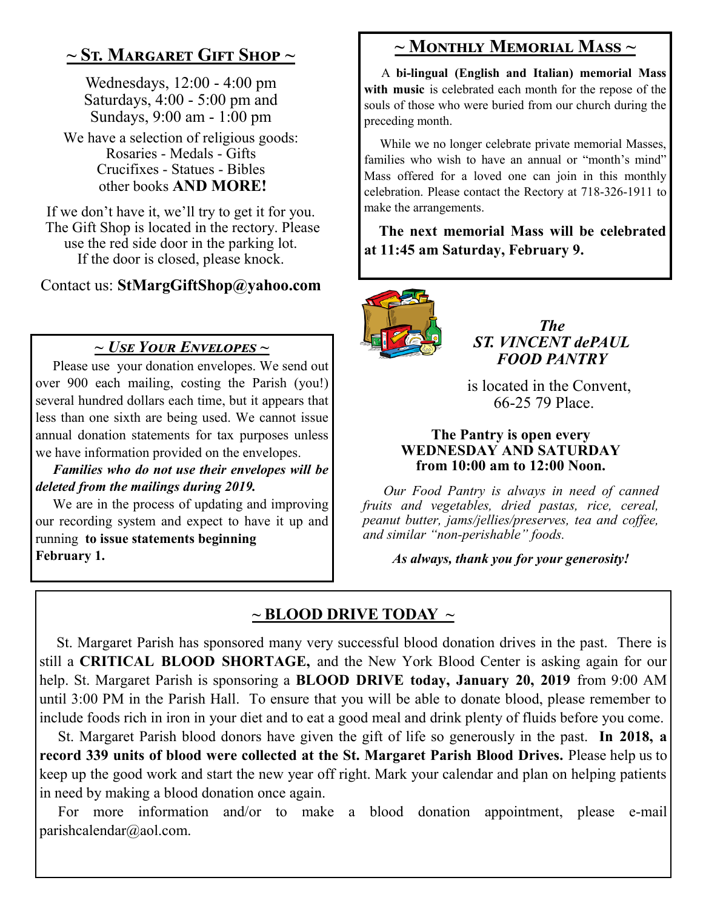## **~ St. Margaret Gift Shop ~**

Wednesdays, 12:00 - 4:00 pm Saturdays, 4:00 - 5:00 pm and Sundays, 9:00 am - 1:00 pm

We have a selection of religious goods: Rosaries - Medals - Gifts Crucifixes - Statues - Bibles other books **AND MORE!**

If we don't have it, we'll try to get it for you. The Gift Shop is located in the rectory. Please use the red side door in the parking lot. If the door is closed, please knock.

Contact us: **StMargGiftShop@yahoo.com**

## *~ Use Your Envelopes ~*

 Please use your donation envelopes. We send out over 900 each mailing, costing the Parish (you!) several hundred dollars each time, but it appears that less than one sixth are being used. We cannot issue annual donation statements for tax purposes unless we have information provided on the envelopes.

 *Families who do not use their envelopes will be deleted from the mailings during 2019.*

 We are in the process of updating and improving our recording system and expect to have it up and running **to issue statements beginning February 1.**

# **~ Monthly Memorial Mass ~**

 A **bi-lingual (English and Italian) memorial Mass with music** is celebrated each month for the repose of the souls of those who were buried from our church during the preceding month.

 While we no longer celebrate private memorial Masses, families who wish to have an annual or "month's mind" Mass offered for a loved one can join in this monthly celebration. Please contact the Rectory at 718-326-1911 to make the arrangements.

 **The next memorial Mass will be celebrated at 11:45 am Saturday, February 9.** 



*The ST. VINCENT dePAUL FOOD PANTRY*

 is located in the Convent, 66-25 79 Place.

#### **The Pantry is open every WEDNESDAY AND SATURDAY from 10:00 am to 12:00 Noon.**

 *Our Food Pantry is always in need of canned fruits and vegetables, dried pastas, rice, cereal, peanut butter, jams/jellies/preserves, tea and coffee, and similar "non-perishable" foods.*

*As always, thank you for your generosity!*

## **~ BLOOD DRIVE TODAY ~**

 St. Margaret Parish has sponsored many very successful blood donation drives in the past. There is still a **CRITICAL BLOOD SHORTAGE,** and the New York Blood Center is asking again for our help. St. Margaret Parish is sponsoring a **BLOOD DRIVE today, January 20, 2019** from 9:00 AM until 3:00 PM in the Parish Hall. To ensure that you will be able to donate blood, please remember to include foods rich in iron in your diet and to eat a good meal and drink plenty of fluids before you come.

 St. Margaret Parish blood donors have given the gift of life so generously in the past. **In 2018, a record 339 units of blood were collected at the St. Margaret Parish Blood Drives.** Please help us to keep up the good work and start the new year off right. Mark your calendar and plan on helping patients in need by making a blood donation once again.

 For more information and/or to make a blood donation appointment, please e-mail parishcalendar@aol.com.